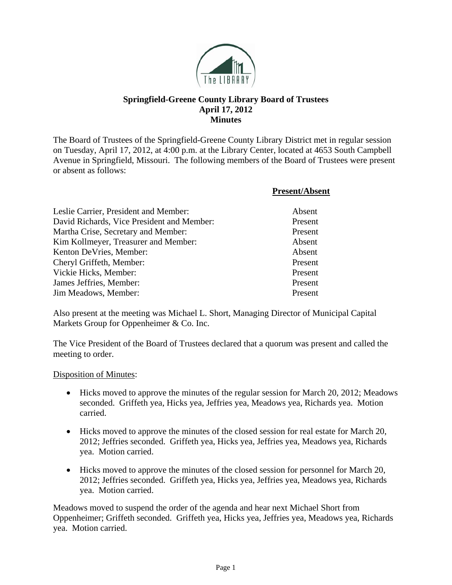

# **Springfield-Greene County Library Board of Trustees April 17, 2012 Minutes**

The Board of Trustees of the Springfield-Greene County Library District met in regular session on Tuesday, April 17, 2012, at 4:00 p.m. at the Library Center, located at 4653 South Campbell Avenue in Springfield, Missouri. The following members of the Board of Trustees were present or absent as follows:

|                                            | <b>Present/Absent</b> |
|--------------------------------------------|-----------------------|
| Leslie Carrier, President and Member:      | Absent                |
| David Richards, Vice President and Member: | Present               |
| Martha Crise, Secretary and Member:        | Present               |
| Kim Kollmeyer, Treasurer and Member:       | Absent                |
| Kenton DeVries, Member:                    | Absent                |
| Cheryl Griffeth, Member:                   | Present               |
| Vickie Hicks, Member:                      | Present               |
| James Jeffries, Member:                    | Present               |
| Jim Meadows, Member:                       | Present               |

Also present at the meeting was Michael L. Short, Managing Director of Municipal Capital Markets Group for Oppenheimer & Co. Inc.

The Vice President of the Board of Trustees declared that a quorum was present and called the meeting to order.

#### Disposition of Minutes:

- Hicks moved to approve the minutes of the regular session for March 20, 2012; Meadows seconded. Griffeth yea, Hicks yea, Jeffries yea, Meadows yea, Richards yea. Motion carried.
- Hicks moved to approve the minutes of the closed session for real estate for March 20, 2012; Jeffries seconded. Griffeth yea, Hicks yea, Jeffries yea, Meadows yea, Richards yea. Motion carried.
- Hicks moved to approve the minutes of the closed session for personnel for March 20, 2012; Jeffries seconded. Griffeth yea, Hicks yea, Jeffries yea, Meadows yea, Richards yea. Motion carried.

Meadows moved to suspend the order of the agenda and hear next Michael Short from Oppenheimer; Griffeth seconded. Griffeth yea, Hicks yea, Jeffries yea, Meadows yea, Richards yea. Motion carried.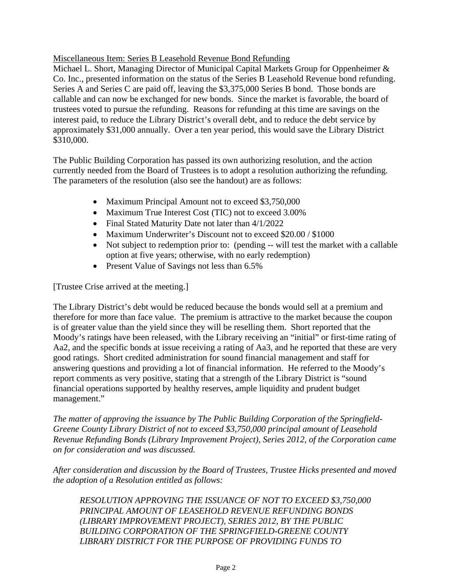## Miscellaneous Item: Series B Leasehold Revenue Bond Refunding

Michael L. Short, Managing Director of Municipal Capital Markets Group for Oppenheimer & Co. Inc., presented information on the status of the Series B Leasehold Revenue bond refunding. Series A and Series C are paid off, leaving the \$3,375,000 Series B bond. Those bonds are callable and can now be exchanged for new bonds. Since the market is favorable, the board of trustees voted to pursue the refunding. Reasons for refunding at this time are savings on the interest paid, to reduce the Library District's overall debt, and to reduce the debt service by approximately \$31,000 annually. Over a ten year period, this would save the Library District \$310,000.

The Public Building Corporation has passed its own authorizing resolution, and the action currently needed from the Board of Trustees is to adopt a resolution authorizing the refunding. The parameters of the resolution (also see the handout) are as follows:

- Maximum Principal Amount not to exceed \$3,750,000
- Maximum True Interest Cost (TIC) not to exceed 3.00%
- Final Stated Maturity Date not later than  $4/1/2022$
- Maximum Underwriter's Discount not to exceed \$20.00 / \$1000
- Not subject to redemption prior to: (pending -- will test the market with a callable option at five years; otherwise, with no early redemption)
- Present Value of Savings not less than 6.5%

[Trustee Crise arrived at the meeting.]

The Library District's debt would be reduced because the bonds would sell at a premium and therefore for more than face value. The premium is attractive to the market because the coupon is of greater value than the yield since they will be reselling them. Short reported that the Moody's ratings have been released, with the Library receiving an "initial" or first-time rating of Aa2, and the specific bonds at issue receiving a rating of Aa3, and he reported that these are very good ratings. Short credited administration for sound financial management and staff for answering questions and providing a lot of financial information. He referred to the Moody's report comments as very positive, stating that a strength of the Library District is "sound financial operations supported by healthy reserves, ample liquidity and prudent budget management."

*The matter of approving the issuance by The Public Building Corporation of the Springfield-Greene County Library District of not to exceed \$3,750,000 principal amount of Leasehold Revenue Refunding Bonds (Library Improvement Project), Series 2012, of the Corporation came on for consideration and was discussed.* 

*After consideration and discussion by the Board of Trustees, Trustee Hicks presented and moved the adoption of a Resolution entitled as follows:* 

*RESOLUTION APPROVING THE ISSUANCE OF NOT TO EXCEED \$3,750,000 PRINCIPAL AMOUNT OF LEASEHOLD REVENUE REFUNDING BONDS (LIBRARY IMPROVEMENT PROJECT), SERIES 2012, BY THE PUBLIC BUILDING CORPORATION OF THE SPRINGFIELD-GREENE COUNTY LIBRARY DISTRICT FOR THE PURPOSE OF PROVIDING FUNDS TO*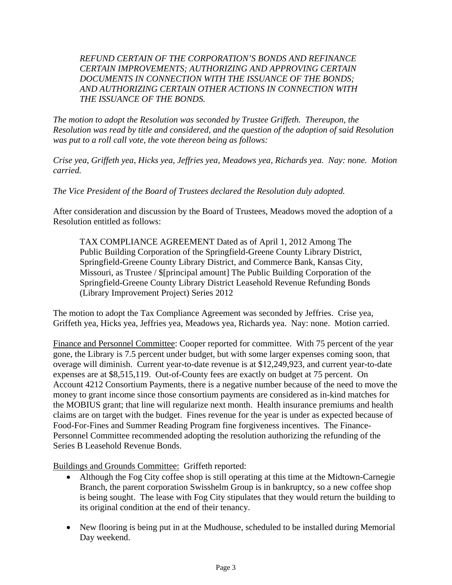### *REFUND CERTAIN OF THE CORPORATION'S BONDS AND REFINANCE CERTAIN IMPROVEMENTS; AUTHORIZING AND APPROVING CERTAIN DOCUMENTS IN CONNECTION WITH THE ISSUANCE OF THE BONDS; AND AUTHORIZING CERTAIN OTHER ACTIONS IN CONNECTION WITH THE ISSUANCE OF THE BONDS.*

*The motion to adopt the Resolution was seconded by Trustee Griffeth. Thereupon, the Resolution was read by title and considered, and the question of the adoption of said Resolution was put to a roll call vote, the vote thereon being as follows:* 

*Crise yea, Griffeth yea, Hicks yea, Jeffries yea, Meadows yea, Richards yea. Nay: none. Motion carried.* 

*The Vice President of the Board of Trustees declared the Resolution duly adopted.* 

After consideration and discussion by the Board of Trustees, Meadows moved the adoption of a Resolution entitled as follows:

TAX COMPLIANCE AGREEMENT Dated as of April 1, 2012 Among The Public Building Corporation of the Springfield-Greene County Library District, Springfield-Greene County Library District, and Commerce Bank, Kansas City, Missouri, as Trustee / \$[principal amount] The Public Building Corporation of the Springfield-Greene County Library District Leasehold Revenue Refunding Bonds (Library Improvement Project) Series 2012

The motion to adopt the Tax Compliance Agreement was seconded by Jeffries. Crise yea, Griffeth yea, Hicks yea, Jeffries yea, Meadows yea, Richards yea. Nay: none. Motion carried.

Finance and Personnel Committee: Cooper reported for committee. With 75 percent of the year gone, the Library is 7.5 percent under budget, but with some larger expenses coming soon, that overage will diminish. Current year-to-date revenue is at \$12,249,923, and current year-to-date expenses are at \$8,515,119. Out-of-County fees are exactly on budget at 75 percent. On Account 4212 Consortium Payments, there is a negative number because of the need to move the money to grant income since those consortium payments are considered as in-kind matches for the MOBIUS grant; that line will regularize next month. Health insurance premiums and health claims are on target with the budget. Fines revenue for the year is under as expected because of Food-For-Fines and Summer Reading Program fine forgiveness incentives. The Finance-Personnel Committee recommended adopting the resolution authorizing the refunding of the Series B Leasehold Revenue Bonds.

Buildings and Grounds Committee: Griffeth reported:

- Although the Fog City coffee shop is still operating at this time at the Midtown-Carnegie Branch, the parent corporation Swisshelm Group is in bankruptcy, so a new coffee shop is being sought. The lease with Fog City stipulates that they would return the building to its original condition at the end of their tenancy.
- New flooring is being put in at the Mudhouse, scheduled to be installed during Memorial Day weekend.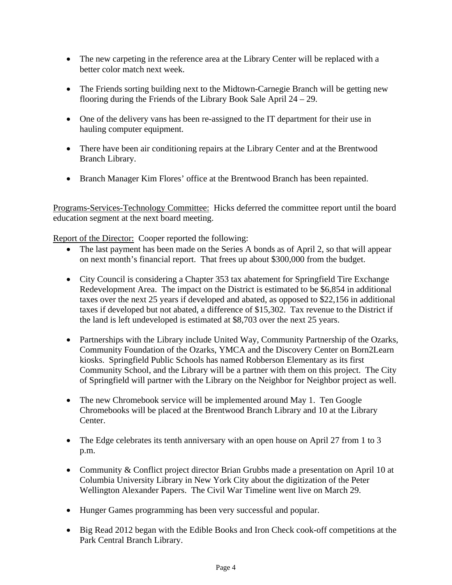- The new carpeting in the reference area at the Library Center will be replaced with a better color match next week.
- The Friends sorting building next to the Midtown-Carnegie Branch will be getting new flooring during the Friends of the Library Book Sale April 24 – 29.
- One of the delivery vans has been re-assigned to the IT department for their use in hauling computer equipment.
- There have been air conditioning repairs at the Library Center and at the Brentwood Branch Library.
- Branch Manager Kim Flores' office at the Brentwood Branch has been repainted.

Programs-Services-Technology Committee: Hicks deferred the committee report until the board education segment at the next board meeting.

Report of the Director: Cooper reported the following:

- The last payment has been made on the Series A bonds as of April 2, so that will appear on next month's financial report. That frees up about \$300,000 from the budget.
- City Council is considering a Chapter 353 tax abatement for Springfield Tire Exchange Redevelopment Area. The impact on the District is estimated to be \$6,854 in additional taxes over the next 25 years if developed and abated, as opposed to \$22,156 in additional taxes if developed but not abated, a difference of \$15,302. Tax revenue to the District if the land is left undeveloped is estimated at \$8,703 over the next 25 years.
- Partnerships with the Library include United Way, Community Partnership of the Ozarks, Community Foundation of the Ozarks, YMCA and the Discovery Center on Born2Learn kiosks. Springfield Public Schools has named Robberson Elementary as its first Community School, and the Library will be a partner with them on this project. The City of Springfield will partner with the Library on the Neighbor for Neighbor project as well.
- The new Chromebook service will be implemented around May 1. Ten Google Chromebooks will be placed at the Brentwood Branch Library and 10 at the Library Center.
- The Edge celebrates its tenth anniversary with an open house on April 27 from 1 to 3 p.m.
- Community & Conflict project director Brian Grubbs made a presentation on April 10 at Columbia University Library in New York City about the digitization of the Peter Wellington Alexander Papers. The Civil War Timeline went live on March 29.
- Hunger Games programming has been very successful and popular.
- Big Read 2012 began with the Edible Books and Iron Check cook-off competitions at the Park Central Branch Library.